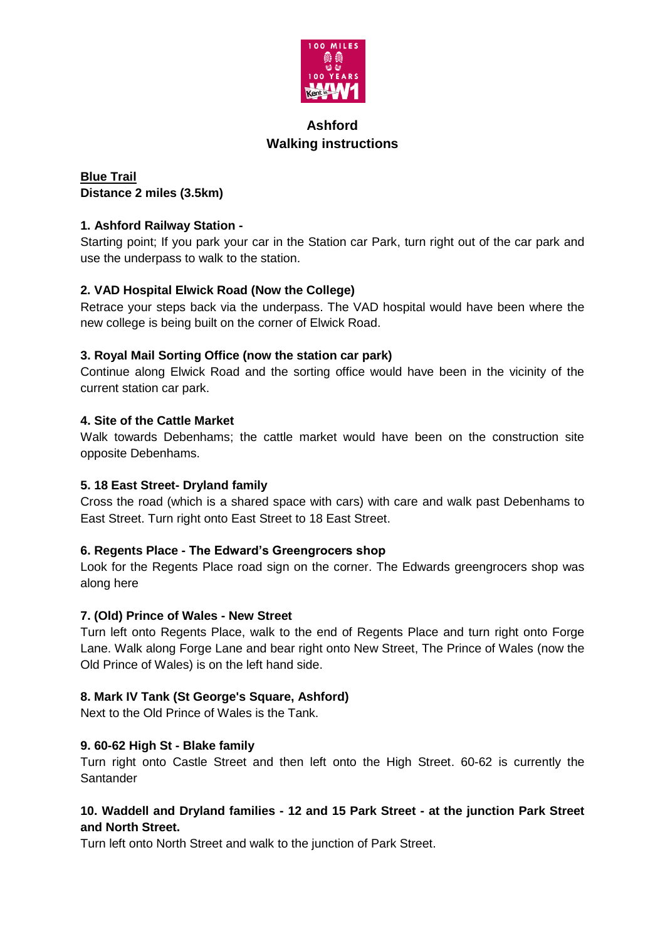

# **Ashford Walking instructions**

# **Blue Trail Distance 2 miles (3.5km)**

### **1. Ashford Railway Station -**

Starting point; If you park your car in the Station car Park, turn right out of the car park and use the underpass to walk to the station.

### **2. VAD Hospital Elwick Road (Now the College)**

Retrace your steps back via the underpass. The VAD hospital would have been where the new college is being built on the corner of Elwick Road.

### **3. Royal Mail Sorting Office (now the station car park)**

Continue along Elwick Road and the sorting office would have been in the vicinity of the current station car park.

### **4. Site of the Cattle Market**

Walk towards Debenhams; the cattle market would have been on the construction site opposite Debenhams.

### **5. 18 East Street- Dryland family**

Cross the road (which is a shared space with cars) with care and walk past Debenhams to East Street. Turn right onto East Street to 18 East Street.

#### **6. Regents Place - The Edward's Greengrocers shop**

Look for the Regents Place road sign on the corner. The Edwards greengrocers shop was along here

#### **7. (Old) Prince of Wales - New Street**

Turn left onto Regents Place, walk to the end of Regents Place and turn right onto Forge Lane. Walk along Forge Lane and bear right onto New Street, The Prince of Wales (now the Old Prince of Wales) is on the left hand side.

### **8. Mark IV Tank (St George's Square, Ashford)**

Next to the Old Prince of Wales is the Tank.

#### **9. 60-62 High St - Blake family**

Turn right onto Castle Street and then left onto the High Street. 60-62 is currently the Santander

### **10. Waddell and Dryland families - 12 and 15 Park Street - at the junction Park Street and North Street.**

Turn left onto North Street and walk to the junction of Park Street.